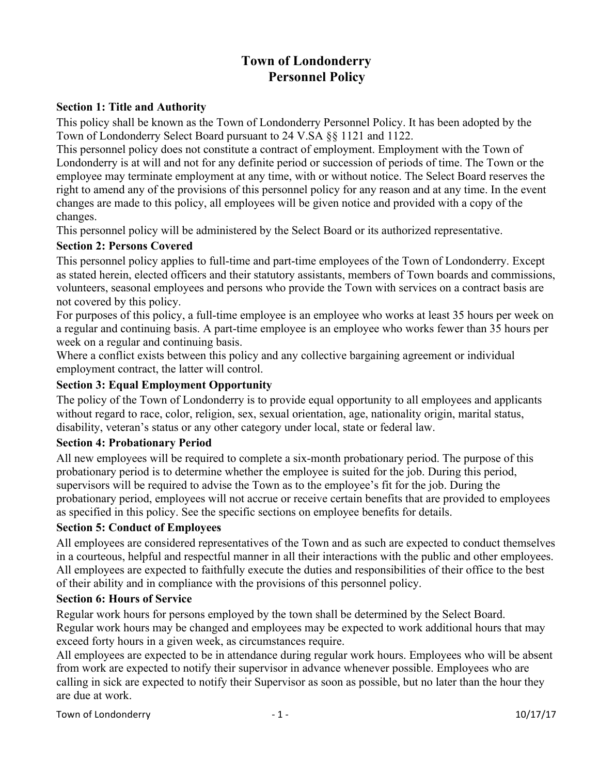# **Town of Londonderry Personnel Policy**

#### **Section 1: Title and Authority**

This policy shall be known as the Town of Londonderry Personnel Policy. It has been adopted by the Town of Londonderry Select Board pursuant to 24 V.SA §§ 1121 and 1122.

This personnel policy does not constitute a contract of employment. Employment with the Town of Londonderry is at will and not for any definite period or succession of periods of time. The Town or the employee may terminate employment at any time, with or without notice. The Select Board reserves the right to amend any of the provisions of this personnel policy for any reason and at any time. In the event changes are made to this policy, all employees will be given notice and provided with a copy of the changes.

This personnel policy will be administered by the Select Board or its authorized representative.

#### **Section 2: Persons Covered**

This personnel policy applies to full-time and part-time employees of the Town of Londonderry. Except as stated herein, elected officers and their statutory assistants, members of Town boards and commissions, volunteers, seasonal employees and persons who provide the Town with services on a contract basis are not covered by this policy.

For purposes of this policy, a full-time employee is an employee who works at least 35 hours per week on a regular and continuing basis. A part-time employee is an employee who works fewer than 35 hours per week on a regular and continuing basis.

Where a conflict exists between this policy and any collective bargaining agreement or individual employment contract, the latter will control.

#### **Section 3: Equal Employment Opportunity**

The policy of the Town of Londonderry is to provide equal opportunity to all employees and applicants without regard to race, color, religion, sex, sexual orientation, age, nationality origin, marital status, disability, veteran's status or any other category under local, state or federal law.

#### **Section 4: Probationary Period**

All new employees will be required to complete a six-month probationary period. The purpose of this probationary period is to determine whether the employee is suited for the job. During this period, supervisors will be required to advise the Town as to the employee's fit for the job. During the probationary period, employees will not accrue or receive certain benefits that are provided to employees as specified in this policy. See the specific sections on employee benefits for details.

#### **Section 5: Conduct of Employees**

All employees are considered representatives of the Town and as such are expected to conduct themselves in a courteous, helpful and respectful manner in all their interactions with the public and other employees. All employees are expected to faithfully execute the duties and responsibilities of their office to the best of their ability and in compliance with the provisions of this personnel policy.

#### **Section 6: Hours of Service**

Regular work hours for persons employed by the town shall be determined by the Select Board. Regular work hours may be changed and employees may be expected to work additional hours that may exceed forty hours in a given week, as circumstances require.

All employees are expected to be in attendance during regular work hours. Employees who will be absent from work are expected to notify their supervisor in advance whenever possible. Employees who are calling in sick are expected to notify their Supervisor as soon as possible, but no later than the hour they are due at work.

Town of Londonderry  $1 - 1 -$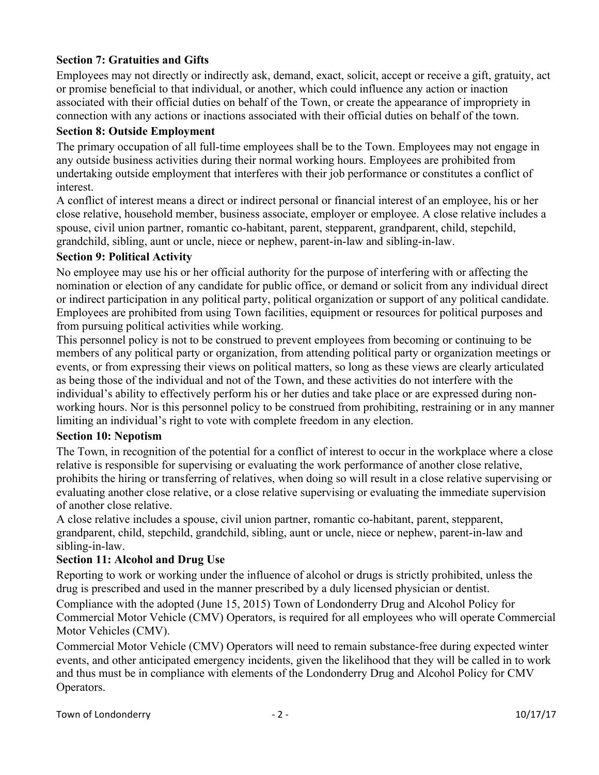### **Section 7: Gratuities and Gifts**

Employees may not directly or indirectly ask, demand, exact, solicit, accept or receive a gift, gratuity, act or promise beneficial to that individual, or another, which could influence any action or inaction associated with their official duties on behalf of the Town, or create the appearance of impropriety in connection with any actions or inactions associated with their official duties on behalf of the town.

#### **Section 8: Outside Employment**

The primary occupation of all full-time employees shall be to the Town. Employees may not engage in any outside business activities during their normal working hours. Employees are prohibited from undertaking outside employment that interferes with their job performance or constitutes a conflict of interest.

A conflict of interest means a direct or indirect personal or financial interest of an employee, his or her close relative, household member, business associate, employer or employee. A close relative includes a spouse, civil union partner, romantic co-habitant, parent, stepparent, grandparent, child, stepchild, grandchild, sibling, aunt or uncle, niece or nephew, parent-in-law and sibling-in-law.

#### **Section 9: Political Activity**

No employee may use his or her official authority for the purpose of interfering with or affecting the nomination or election of any candidate for public office, or demand or solicit from any individual direct or indirect participation in any political party, political organization or support of any political candidate. Employees are prohibited from using Town facilities, equipment or resources for political purposes and from pursuing political activities while working.

This personnel policy is not to be construed to prevent employees from becoming or continuing to be members of any political party or organization, from attending political party or organization meetings or events, or from expressing their views on political matters, so long as these views are clearly articulated as being those of the individual and not of the Town, and these activities do not interfere with the individual's ability to effectively perform his or her duties and take place or are expressed during nonworking hours. Nor is this personnel policy to be construed from prohibiting, restraining or in any manner limiting an individual's right to vote with complete freedom in any election.

#### **Section 10: Nepotism**

The Town, in recognition of the potential for a conflict of interest to occur in the workplace where a close relative is responsible for supervising or evaluating the work performance of another close relative, prohibits the hiring or transferring of relatives, when doing so will result in a close relative supervising or evaluating another close relative, or a close relative supervising or evaluating the immediate supervision of another close relative.

A close relative includes a spouse, civil union partner, romantic co-habitant, parent, stepparent, grandparent, child, stepchild, grandchild, sibling, aunt or uncle, niece or nephew, parent-in-law and sibling-in-law.

#### **Section 11: Alcohol and Drug Use**

Reporting to work or working under the influence of alcohol or drugs is strictly prohibited, unless the drug is prescribed and used in the manner prescribed by a duly licensed physician or dentist.

Compliance with the adopted (June 15, 2015) Town of Londonderry Drug and Alcohol Policy for Commercial Motor Vehicle (CMV) Operators, is required for all employees who will operate Commercial Motor Vehicles (CMV).

Commercial Motor Vehicle (CMV) Operators will need to remain substance-free during expected winter events, and other anticipated emergency incidents, given the likelihood that they will be called in to work and thus must be in compliance with elements of the Londonderry Drug and Alcohol Policy for CMV Operators.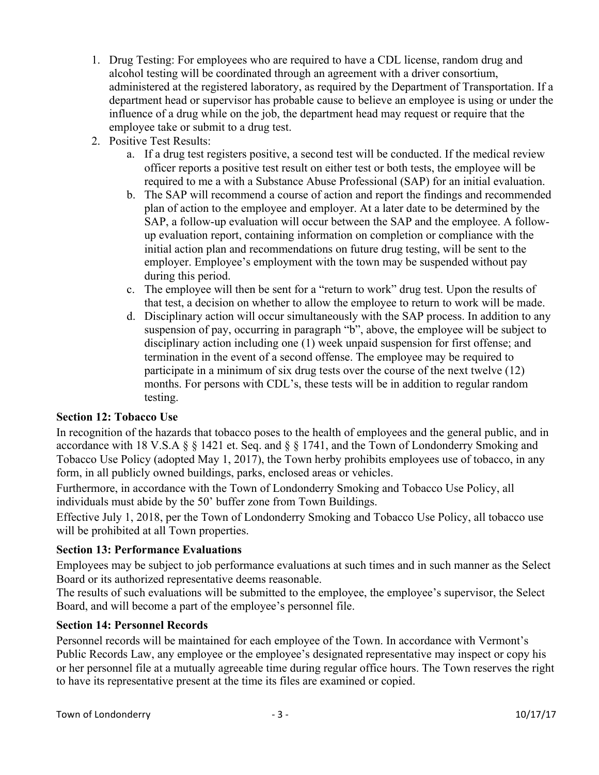- 1. Drug Testing: For employees who are required to have a CDL license, random drug and alcohol testing will be coordinated through an agreement with a driver consortium, administered at the registered laboratory, as required by the Department of Transportation. If a department head or supervisor has probable cause to believe an employee is using or under the influence of a drug while on the job, the department head may request or require that the employee take or submit to a drug test.
- 2. Positive Test Results:
	- a. If a drug test registers positive, a second test will be conducted. If the medical review officer reports a positive test result on either test or both tests, the employee will be required to me a with a Substance Abuse Professional (SAP) for an initial evaluation.
	- b. The SAP will recommend a course of action and report the findings and recommended plan of action to the employee and employer. At a later date to be determined by the SAP, a follow-up evaluation will occur between the SAP and the employee. A followup evaluation report, containing information on completion or compliance with the initial action plan and recommendations on future drug testing, will be sent to the employer. Employee's employment with the town may be suspended without pay during this period.
	- c. The employee will then be sent for a "return to work" drug test. Upon the results of that test, a decision on whether to allow the employee to return to work will be made.
	- d. Disciplinary action will occur simultaneously with the SAP process. In addition to any suspension of pay, occurring in paragraph "b", above, the employee will be subject to disciplinary action including one (1) week unpaid suspension for first offense; and termination in the event of a second offense. The employee may be required to participate in a minimum of six drug tests over the course of the next twelve (12) months. For persons with CDL's, these tests will be in addition to regular random testing.

## **Section 12: Tobacco Use**

In recognition of the hazards that tobacco poses to the health of employees and the general public, and in accordance with 18 V.S.A § § 1421 et. Seq. and § § 1741, and the Town of Londonderry Smoking and Tobacco Use Policy (adopted May 1, 2017), the Town herby prohibits employees use of tobacco, in any form, in all publicly owned buildings, parks, enclosed areas or vehicles.

Furthermore, in accordance with the Town of Londonderry Smoking and Tobacco Use Policy, all individuals must abide by the 50' buffer zone from Town Buildings.

Effective July 1, 2018, per the Town of Londonderry Smoking and Tobacco Use Policy, all tobacco use will be prohibited at all Town properties.

#### **Section 13: Performance Evaluations**

Employees may be subject to job performance evaluations at such times and in such manner as the Select Board or its authorized representative deems reasonable.

The results of such evaluations will be submitted to the employee, the employee's supervisor, the Select Board, and will become a part of the employee's personnel file.

#### **Section 14: Personnel Records**

Personnel records will be maintained for each employee of the Town. In accordance with Vermont's Public Records Law, any employee or the employee's designated representative may inspect or copy his or her personnel file at a mutually agreeable time during regular office hours. The Town reserves the right to have its representative present at the time its files are examined or copied.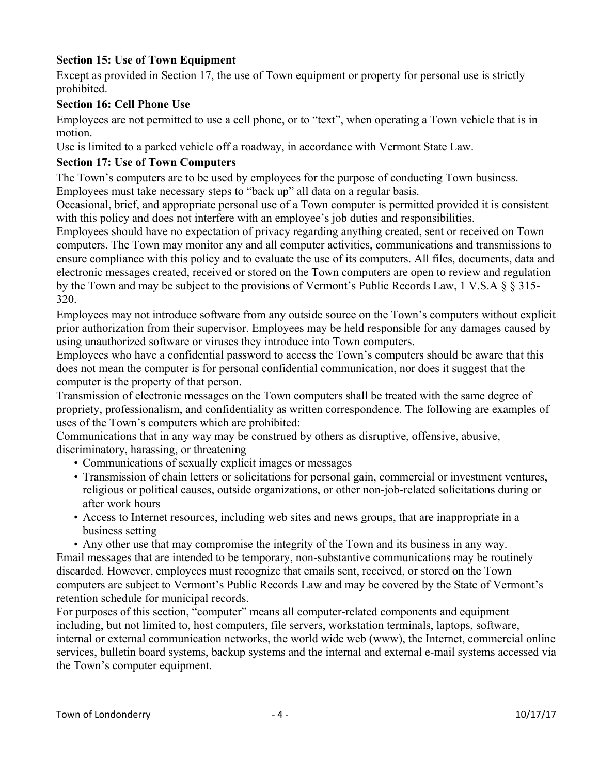## **Section 15: Use of Town Equipment**

Except as provided in Section 17, the use of Town equipment or property for personal use is strictly prohibited.

### **Section 16: Cell Phone Use**

Employees are not permitted to use a cell phone, or to "text", when operating a Town vehicle that is in motion.

Use is limited to a parked vehicle off a roadway, in accordance with Vermont State Law.

## **Section 17: Use of Town Computers**

The Town's computers are to be used by employees for the purpose of conducting Town business. Employees must take necessary steps to "back up" all data on a regular basis.

Occasional, brief, and appropriate personal use of a Town computer is permitted provided it is consistent with this policy and does not interfere with an employee's job duties and responsibilities.

Employees should have no expectation of privacy regarding anything created, sent or received on Town computers. The Town may monitor any and all computer activities, communications and transmissions to ensure compliance with this policy and to evaluate the use of its computers. All files, documents, data and electronic messages created, received or stored on the Town computers are open to review and regulation by the Town and may be subject to the provisions of Vermont's Public Records Law, 1 V.S.A § § 315- 320.

Employees may not introduce software from any outside source on the Town's computers without explicit prior authorization from their supervisor. Employees may be held responsible for any damages caused by using unauthorized software or viruses they introduce into Town computers.

Employees who have a confidential password to access the Town's computers should be aware that this does not mean the computer is for personal confidential communication, nor does it suggest that the computer is the property of that person.

Transmission of electronic messages on the Town computers shall be treated with the same degree of propriety, professionalism, and confidentiality as written correspondence. The following are examples of uses of the Town's computers which are prohibited:

Communications that in any way may be construed by others as disruptive, offensive, abusive, discriminatory, harassing, or threatening

- Communications of sexually explicit images or messages
- Transmission of chain letters or solicitations for personal gain, commercial or investment ventures, religious or political causes, outside organizations, or other non-job-related solicitations during or after work hours
- Access to Internet resources, including web sites and news groups, that are inappropriate in a business setting

• Any other use that may compromise the integrity of the Town and its business in any way. Email messages that are intended to be temporary, non-substantive communications may be routinely discarded. However, employees must recognize that emails sent, received, or stored on the Town computers are subject to Vermont's Public Records Law and may be covered by the State of Vermont's retention schedule for municipal records.

For purposes of this section, "computer" means all computer-related components and equipment including, but not limited to, host computers, file servers, workstation terminals, laptops, software, internal or external communication networks, the world wide web (www), the Internet, commercial online services, bulletin board systems, backup systems and the internal and external e-mail systems accessed via the Town's computer equipment.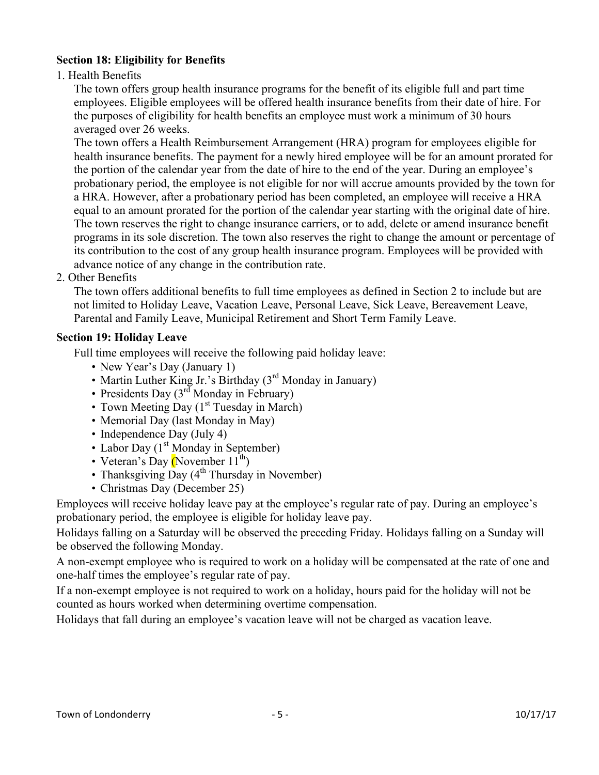## **Section 18: Eligibility for Benefits**

1. Health Benefits

The town offers group health insurance programs for the benefit of its eligible full and part time employees. Eligible employees will be offered health insurance benefits from their date of hire. For the purposes of eligibility for health benefits an employee must work a minimum of 30 hours averaged over 26 weeks.

The town offers a Health Reimbursement Arrangement (HRA) program for employees eligible for health insurance benefits. The payment for a newly hired employee will be for an amount prorated for the portion of the calendar year from the date of hire to the end of the year. During an employee's probationary period, the employee is not eligible for nor will accrue amounts provided by the town for a HRA. However, after a probationary period has been completed, an employee will receive a HRA equal to an amount prorated for the portion of the calendar year starting with the original date of hire. The town reserves the right to change insurance carriers, or to add, delete or amend insurance benefit programs in its sole discretion. The town also reserves the right to change the amount or percentage of its contribution to the cost of any group health insurance program. Employees will be provided with advance notice of any change in the contribution rate.

2. Other Benefits

The town offers additional benefits to full time employees as defined in Section 2 to include but are not limited to Holiday Leave, Vacation Leave, Personal Leave, Sick Leave, Bereavement Leave, Parental and Family Leave, Municipal Retirement and Short Term Family Leave.

#### **Section 19: Holiday Leave**

Full time employees will receive the following paid holiday leave:

- New Year's Day (January 1)
- Martin Luther King Jr.'s Birthday (3<sup>rd</sup> Monday in January)
- Presidents Day  $(3<sup>rd</sup>$  Monday in February)
- Town Meeting Day  $(1<sup>st</sup> Tuesday in March)$
- Memorial Day (last Monday in May)
- Independence Day (July 4)
- Labor Day  $(1<sup>st</sup> Monday in September)$
- Veteran's Day (November  $11^{th}$ )
- Thanksgiving Day  $(4^{th}$  Thursday in November)
- Christmas Day (December 25)

Employees will receive holiday leave pay at the employee's regular rate of pay. During an employee's probationary period, the employee is eligible for holiday leave pay.

Holidays falling on a Saturday will be observed the preceding Friday. Holidays falling on a Sunday will be observed the following Monday.

A non-exempt employee who is required to work on a holiday will be compensated at the rate of one and one-half times the employee's regular rate of pay.

If a non-exempt employee is not required to work on a holiday, hours paid for the holiday will not be counted as hours worked when determining overtime compensation.

Holidays that fall during an employee's vacation leave will not be charged as vacation leave.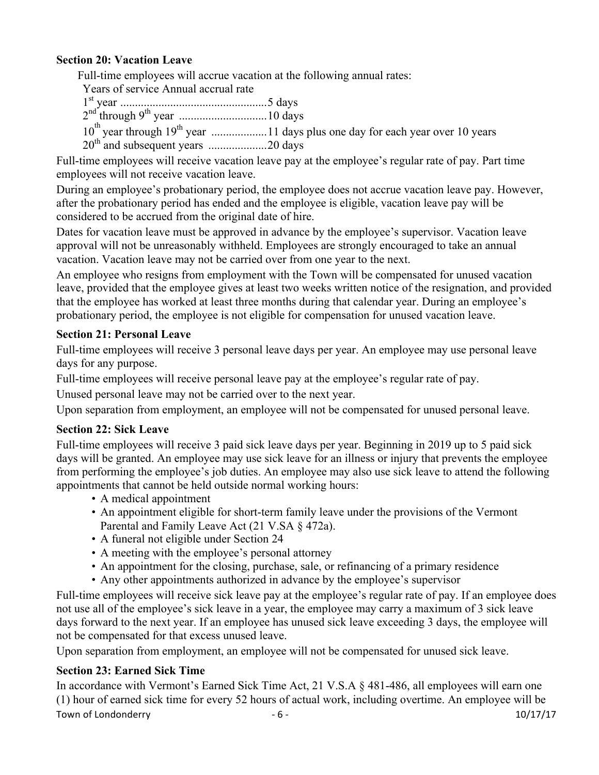## **Section 20: Vacation Leave**

Full-time employees will accrue vacation at the following annual rates:

| Years of service Annual accrual rate |  |
|--------------------------------------|--|
|                                      |  |
|                                      |  |
|                                      |  |
|                                      |  |

Full-time employees will receive vacation leave pay at the employee's regular rate of pay. Part time employees will not receive vacation leave.

During an employee's probationary period, the employee does not accrue vacation leave pay. However, after the probationary period has ended and the employee is eligible, vacation leave pay will be considered to be accrued from the original date of hire.

Dates for vacation leave must be approved in advance by the employee's supervisor. Vacation leave approval will not be unreasonably withheld. Employees are strongly encouraged to take an annual vacation. Vacation leave may not be carried over from one year to the next.

An employee who resigns from employment with the Town will be compensated for unused vacation leave, provided that the employee gives at least two weeks written notice of the resignation, and provided that the employee has worked at least three months during that calendar year. During an employee's probationary period, the employee is not eligible for compensation for unused vacation leave.

#### **Section 21: Personal Leave**

Full-time employees will receive 3 personal leave days per year. An employee may use personal leave days for any purpose.

Full-time employees will receive personal leave pay at the employee's regular rate of pay.

Unused personal leave may not be carried over to the next year.

Upon separation from employment, an employee will not be compensated for unused personal leave.

#### **Section 22: Sick Leave**

Full-time employees will receive 3 paid sick leave days per year. Beginning in 2019 up to 5 paid sick days will be granted. An employee may use sick leave for an illness or injury that prevents the employee from performing the employee's job duties. An employee may also use sick leave to attend the following appointments that cannot be held outside normal working hours:

- A medical appointment
- An appointment eligible for short-term family leave under the provisions of the Vermont Parental and Family Leave Act (21 V.SA § 472a).
- A funeral not eligible under Section 24
- A meeting with the employee's personal attorney
- An appointment for the closing, purchase, sale, or refinancing of a primary residence
- Any other appointments authorized in advance by the employee's supervisor

Full-time employees will receive sick leave pay at the employee's regular rate of pay. If an employee does not use all of the employee's sick leave in a year, the employee may carry a maximum of 3 sick leave days forward to the next year. If an employee has unused sick leave exceeding 3 days, the employee will not be compensated for that excess unused leave.

Upon separation from employment, an employee will not be compensated for unused sick leave.

## **Section 23: Earned Sick Time**

Town of Londonderry  $-6$  -  $-$  10/17/17 In accordance with Vermont's Earned Sick Time Act, 21 V.S.A § 481-486, all employees will earn one (1) hour of earned sick time for every 52 hours of actual work, including overtime. An employee will be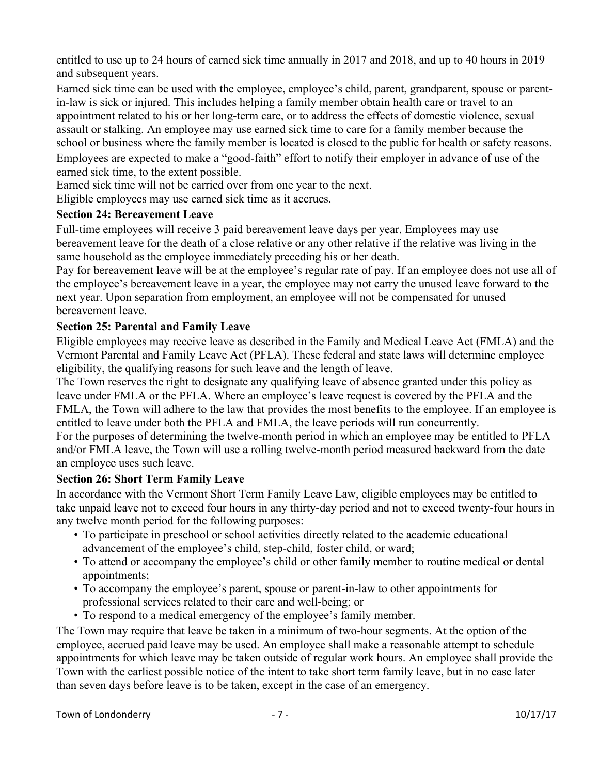entitled to use up to 24 hours of earned sick time annually in 2017 and 2018, and up to 40 hours in 2019 and subsequent years.

Earned sick time can be used with the employee, employee's child, parent, grandparent, spouse or parentin-law is sick or injured. This includes helping a family member obtain health care or travel to an appointment related to his or her long-term care, or to address the effects of domestic violence, sexual assault or stalking. An employee may use earned sick time to care for a family member because the school or business where the family member is located is closed to the public for health or safety reasons. Employees are expected to make a "good-faith" effort to notify their employer in advance of use of the earned sick time, to the extent possible.

Earned sick time will not be carried over from one year to the next.

Eligible employees may use earned sick time as it accrues.

#### **Section 24: Bereavement Leave**

Full-time employees will receive 3 paid bereavement leave days per year. Employees may use bereavement leave for the death of a close relative or any other relative if the relative was living in the same household as the employee immediately preceding his or her death.

Pay for bereavement leave will be at the employee's regular rate of pay. If an employee does not use all of the employee's bereavement leave in a year, the employee may not carry the unused leave forward to the next year. Upon separation from employment, an employee will not be compensated for unused bereavement leave.

## **Section 25: Parental and Family Leave**

Eligible employees may receive leave as described in the Family and Medical Leave Act (FMLA) and the Vermont Parental and Family Leave Act (PFLA). These federal and state laws will determine employee eligibility, the qualifying reasons for such leave and the length of leave.

The Town reserves the right to designate any qualifying leave of absence granted under this policy as leave under FMLA or the PFLA. Where an employee's leave request is covered by the PFLA and the FMLA, the Town will adhere to the law that provides the most benefits to the employee. If an employee is entitled to leave under both the PFLA and FMLA, the leave periods will run concurrently.

For the purposes of determining the twelve-month period in which an employee may be entitled to PFLA and/or FMLA leave, the Town will use a rolling twelve-month period measured backward from the date an employee uses such leave.

#### **Section 26: Short Term Family Leave**

In accordance with the Vermont Short Term Family Leave Law, eligible employees may be entitled to take unpaid leave not to exceed four hours in any thirty-day period and not to exceed twenty-four hours in any twelve month period for the following purposes:

- To participate in preschool or school activities directly related to the academic educational advancement of the employee's child, step-child, foster child, or ward;
- To attend or accompany the employee's child or other family member to routine medical or dental appointments;
- To accompany the employee's parent, spouse or parent-in-law to other appointments for professional services related to their care and well-being; or
- To respond to a medical emergency of the employee's family member.

The Town may require that leave be taken in a minimum of two-hour segments. At the option of the employee, accrued paid leave may be used. An employee shall make a reasonable attempt to schedule appointments for which leave may be taken outside of regular work hours. An employee shall provide the Town with the earliest possible notice of the intent to take short term family leave, but in no case later than seven days before leave is to be taken, except in the case of an emergency.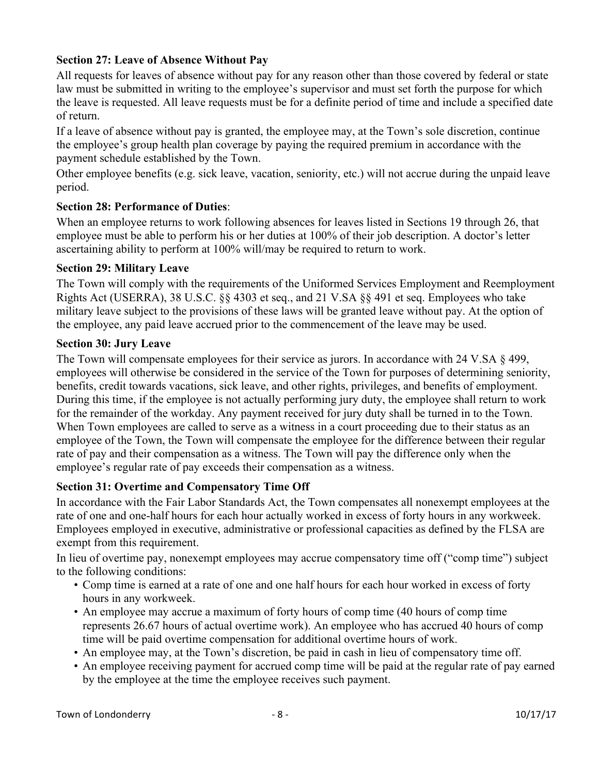## **Section 27: Leave of Absence Without Pay**

All requests for leaves of absence without pay for any reason other than those covered by federal or state law must be submitted in writing to the employee's supervisor and must set forth the purpose for which the leave is requested. All leave requests must be for a definite period of time and include a specified date of return.

If a leave of absence without pay is granted, the employee may, at the Town's sole discretion, continue the employee's group health plan coverage by paying the required premium in accordance with the payment schedule established by the Town.

Other employee benefits (e.g. sick leave, vacation, seniority, etc.) will not accrue during the unpaid leave period.

## **Section 28: Performance of Duties**:

When an employee returns to work following absences for leaves listed in Sections 19 through 26, that employee must be able to perform his or her duties at 100% of their job description. A doctor's letter ascertaining ability to perform at 100% will/may be required to return to work.

#### **Section 29: Military Leave**

The Town will comply with the requirements of the Uniformed Services Employment and Reemployment Rights Act (USERRA), 38 U.S.C. §§ 4303 et seq., and 21 V.SA §§ 491 et seq. Employees who take military leave subject to the provisions of these laws will be granted leave without pay. At the option of the employee, any paid leave accrued prior to the commencement of the leave may be used.

#### **Section 30: Jury Leave**

The Town will compensate employees for their service as jurors. In accordance with 24 V.SA § 499, employees will otherwise be considered in the service of the Town for purposes of determining seniority, benefits, credit towards vacations, sick leave, and other rights, privileges, and benefits of employment. During this time, if the employee is not actually performing jury duty, the employee shall return to work for the remainder of the workday. Any payment received for jury duty shall be turned in to the Town. When Town employees are called to serve as a witness in a court proceeding due to their status as an employee of the Town, the Town will compensate the employee for the difference between their regular rate of pay and their compensation as a witness. The Town will pay the difference only when the employee's regular rate of pay exceeds their compensation as a witness.

#### **Section 31: Overtime and Compensatory Time Off**

In accordance with the Fair Labor Standards Act, the Town compensates all nonexempt employees at the rate of one and one-half hours for each hour actually worked in excess of forty hours in any workweek. Employees employed in executive, administrative or professional capacities as defined by the FLSA are exempt from this requirement.

In lieu of overtime pay, nonexempt employees may accrue compensatory time off ("comp time") subject to the following conditions:

- Comp time is earned at a rate of one and one half hours for each hour worked in excess of forty hours in any workweek.
- An employee may accrue a maximum of forty hours of comp time (40 hours of comp time represents 26.67 hours of actual overtime work). An employee who has accrued 40 hours of comp time will be paid overtime compensation for additional overtime hours of work.
- An employee may, at the Town's discretion, be paid in cash in lieu of compensatory time off.
- An employee receiving payment for accrued comp time will be paid at the regular rate of pay earned by the employee at the time the employee receives such payment.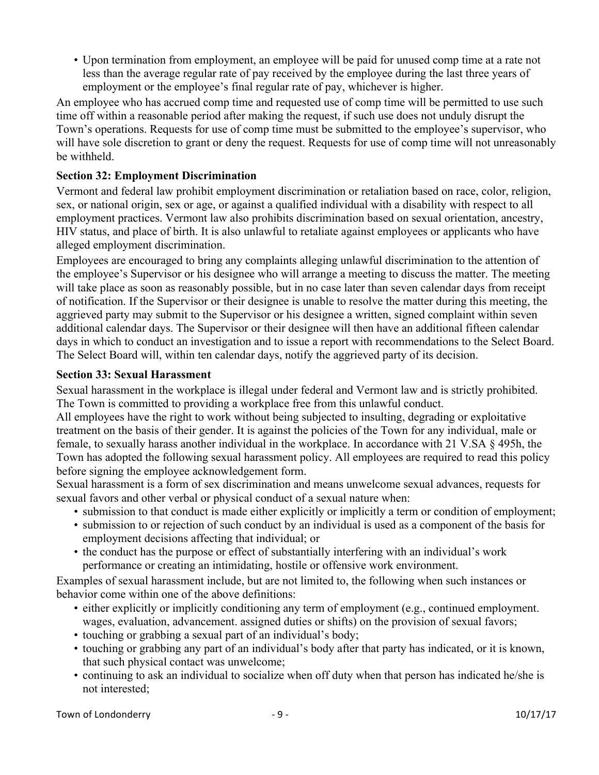• Upon termination from employment, an employee will be paid for unused comp time at a rate not less than the average regular rate of pay received by the employee during the last three years of employment or the employee's final regular rate of pay, whichever is higher.

An employee who has accrued comp time and requested use of comp time will be permitted to use such time off within a reasonable period after making the request, if such use does not unduly disrupt the Town's operations. Requests for use of comp time must be submitted to the employee's supervisor, who will have sole discretion to grant or deny the request. Requests for use of comp time will not unreasonably be withheld.

### **Section 32: Employment Discrimination**

Vermont and federal law prohibit employment discrimination or retaliation based on race, color, religion, sex, or national origin, sex or age, or against a qualified individual with a disability with respect to all employment practices. Vermont law also prohibits discrimination based on sexual orientation, ancestry, HIV status, and place of birth. It is also unlawful to retaliate against employees or applicants who have alleged employment discrimination.

Employees are encouraged to bring any complaints alleging unlawful discrimination to the attention of the employee's Supervisor or his designee who will arrange a meeting to discuss the matter. The meeting will take place as soon as reasonably possible, but in no case later than seven calendar days from receipt of notification. If the Supervisor or their designee is unable to resolve the matter during this meeting, the aggrieved party may submit to the Supervisor or his designee a written, signed complaint within seven additional calendar days. The Supervisor or their designee will then have an additional fifteen calendar days in which to conduct an investigation and to issue a report with recommendations to the Select Board. The Select Board will, within ten calendar days, notify the aggrieved party of its decision.

#### **Section 33: Sexual Harassment**

Sexual harassment in the workplace is illegal under federal and Vermont law and is strictly prohibited. The Town is committed to providing a workplace free from this unlawful conduct.

All employees have the right to work without being subjected to insulting, degrading or exploitative treatment on the basis of their gender. It is against the policies of the Town for any individual, male or female, to sexually harass another individual in the workplace. In accordance with 21 V.SA § 495h, the Town has adopted the following sexual harassment policy. All employees are required to read this policy before signing the employee acknowledgement form.

Sexual harassment is a form of sex discrimination and means unwelcome sexual advances, requests for sexual favors and other verbal or physical conduct of a sexual nature when:

- submission to that conduct is made either explicitly or implicitly a term or condition of employment;
- submission to or rejection of such conduct by an individual is used as a component of the basis for employment decisions affecting that individual; or
- the conduct has the purpose or effect of substantially interfering with an individual's work performance or creating an intimidating, hostile or offensive work environment.

Examples of sexual harassment include, but are not limited to, the following when such instances or behavior come within one of the above definitions:

- either explicitly or implicitly conditioning any term of employment (e.g., continued employment. wages, evaluation, advancement. assigned duties or shifts) on the provision of sexual favors;
- touching or grabbing a sexual part of an individual's body;
- touching or grabbing any part of an individual's body after that party has indicated, or it is known, that such physical contact was unwelcome;
- continuing to ask an individual to socialize when off duty when that person has indicated he/she is not interested;

Town of Londonderry  $-9$  -  $-$  10/17/17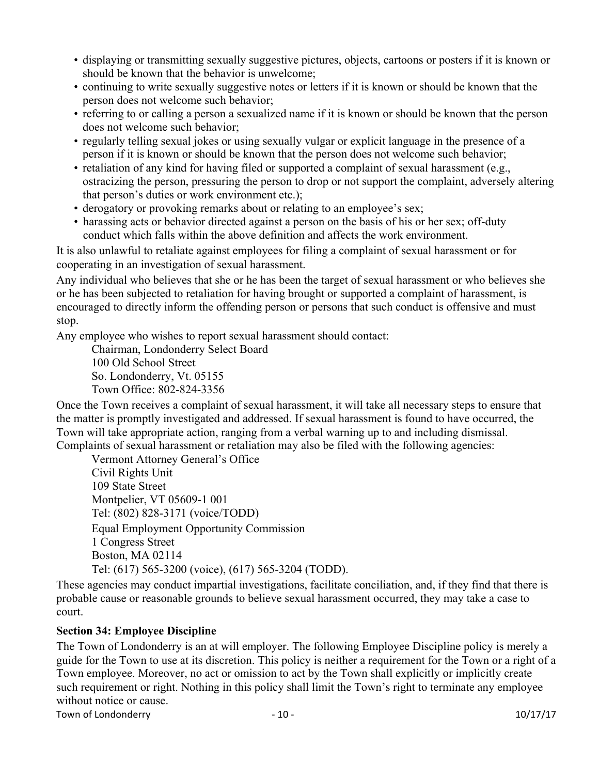- displaying or transmitting sexually suggestive pictures, objects, cartoons or posters if it is known or should be known that the behavior is unwelcome;
- continuing to write sexually suggestive notes or letters if it is known or should be known that the person does not welcome such behavior;
- referring to or calling a person a sexualized name if it is known or should be known that the person does not welcome such behavior;
- regularly telling sexual jokes or using sexually vulgar or explicit language in the presence of a person if it is known or should be known that the person does not welcome such behavior;
- retaliation of any kind for having filed or supported a complaint of sexual harassment (e.g., ostracizing the person, pressuring the person to drop or not support the complaint, adversely altering that person's duties or work environment etc.);
- derogatory or provoking remarks about or relating to an employee's sex;
- harassing acts or behavior directed against a person on the basis of his or her sex; off-duty conduct which falls within the above definition and affects the work environment.

It is also unlawful to retaliate against employees for filing a complaint of sexual harassment or for cooperating in an investigation of sexual harassment.

Any individual who believes that she or he has been the target of sexual harassment or who believes she or he has been subjected to retaliation for having brought or supported a complaint of harassment, is encouraged to directly inform the offending person or persons that such conduct is offensive and must stop.

Any employee who wishes to report sexual harassment should contact:

Chairman, Londonderry Select Board 100 Old School Street

So. Londonderry, Vt. 05155 Town Office: 802-824-3356

Once the Town receives a complaint of sexual harassment, it will take all necessary steps to ensure that the matter is promptly investigated and addressed. If sexual harassment is found to have occurred, the Town will take appropriate action, ranging from a verbal warning up to and including dismissal. Complaints of sexual harassment or retaliation may also be filed with the following agencies:

Vermont Attorney General's Office Civil Rights Unit 109 State Street Montpelier, VT 05609-1 001 Tel: (802) 828-3171 (voice/TODD) Equal Employment Opportunity Commission 1 Congress Street Boston, MA 02114 Tel: (617) 565-3200 (voice), (617) 565-3204 (TODD).

These agencies may conduct impartial investigations, facilitate conciliation, and, if they find that there is probable cause or reasonable grounds to believe sexual harassment occurred, they may take a case to court.

#### **Section 34: Employee Discipline**

The Town of Londonderry is an at will employer. The following Employee Discipline policy is merely a guide for the Town to use at its discretion. This policy is neither a requirement for the Town or a right of a Town employee. Moreover, no act or omission to act by the Town shall explicitly or implicitly create such requirement or right. Nothing in this policy shall limit the Town's right to terminate any employee without notice or cause.

Town of Londonderry  $10^{17/17}$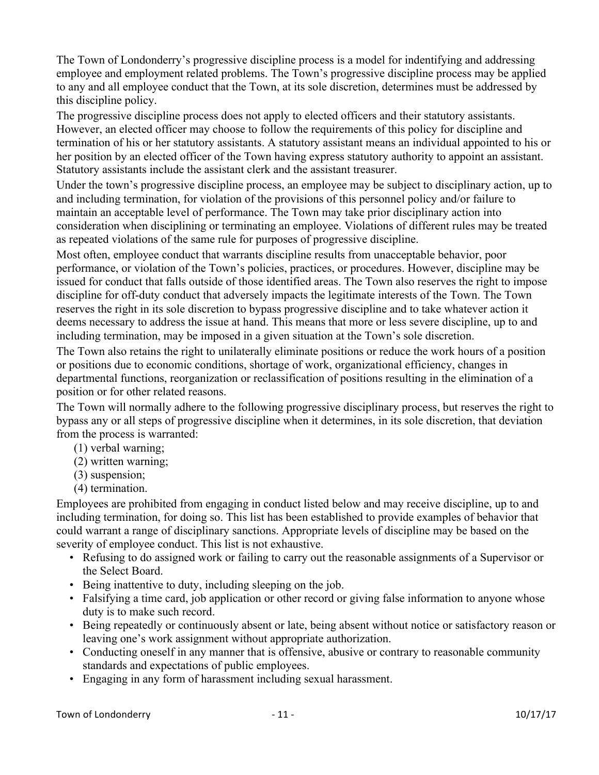The Town of Londonderry's progressive discipline process is a model for indentifying and addressing employee and employment related problems. The Town's progressive discipline process may be applied to any and all employee conduct that the Town, at its sole discretion, determines must be addressed by this discipline policy.

The progressive discipline process does not apply to elected officers and their statutory assistants. However, an elected officer may choose to follow the requirements of this policy for discipline and termination of his or her statutory assistants. A statutory assistant means an individual appointed to his or her position by an elected officer of the Town having express statutory authority to appoint an assistant. Statutory assistants include the assistant clerk and the assistant treasurer.

Under the town's progressive discipline process, an employee may be subject to disciplinary action, up to and including termination, for violation of the provisions of this personnel policy and/or failure to maintain an acceptable level of performance. The Town may take prior disciplinary action into consideration when disciplining or terminating an employee. Violations of different rules may be treated as repeated violations of the same rule for purposes of progressive discipline.

Most often, employee conduct that warrants discipline results from unacceptable behavior, poor performance, or violation of the Town's policies, practices, or procedures. However, discipline may be issued for conduct that falls outside of those identified areas. The Town also reserves the right to impose discipline for off-duty conduct that adversely impacts the legitimate interests of the Town. The Town reserves the right in its sole discretion to bypass progressive discipline and to take whatever action it deems necessary to address the issue at hand. This means that more or less severe discipline, up to and including termination, may be imposed in a given situation at the Town's sole discretion.

The Town also retains the right to unilaterally eliminate positions or reduce the work hours of a position or positions due to economic conditions, shortage of work, organizational efficiency, changes in departmental functions, reorganization or reclassification of positions resulting in the elimination of a position or for other related reasons.

The Town will normally adhere to the following progressive disciplinary process, but reserves the right to bypass any or all steps of progressive discipline when it determines, in its sole discretion, that deviation from the process is warranted:

- (1) verbal warning;
- (2) written warning;
- (3) suspension;
- (4) termination.

Employees are prohibited from engaging in conduct listed below and may receive discipline, up to and including termination, for doing so. This list has been established to provide examples of behavior that could warrant a range of disciplinary sanctions. Appropriate levels of discipline may be based on the severity of employee conduct. This list is not exhaustive.

- Refusing to do assigned work or failing to carry out the reasonable assignments of a Supervisor or the Select Board.
- Being inattentive to duty, including sleeping on the job.
- Falsifying a time card, job application or other record or giving false information to anyone whose duty is to make such record.
- Being repeatedly or continuously absent or late, being absent without notice or satisfactory reason or leaving one's work assignment without appropriate authorization.
- Conducting oneself in any manner that is offensive, abusive or contrary to reasonable community standards and expectations of public employees.
- Engaging in any form of harassment including sexual harassment.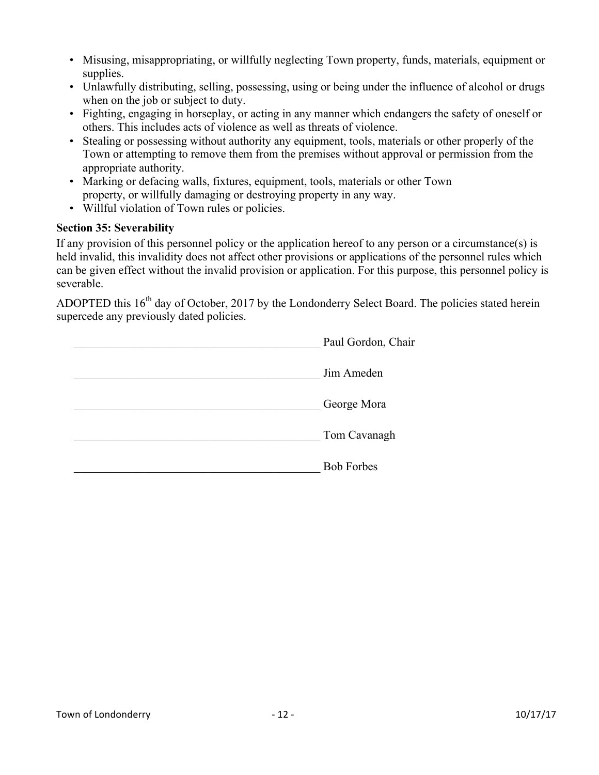- Misusing, misappropriating, or willfully neglecting Town property, funds, materials, equipment or supplies.
- Unlawfully distributing, selling, possessing, using or being under the influence of alcohol or drugs when on the job or subject to duty.
- Fighting, engaging in horseplay, or acting in any manner which endangers the safety of oneself or others. This includes acts of violence as well as threats of violence.
- Stealing or possessing without authority any equipment, tools, materials or other properly of the Town or attempting to remove them from the premises without approval or permission from the appropriate authority.
- Marking or defacing walls, fixtures, equipment, tools, materials or other Town property, or willfully damaging or destroying property in any way.
- Willful violation of Town rules or policies.

### **Section 35: Severability**

If any provision of this personnel policy or the application hereof to any person or a circumstance(s) is held invalid, this invalidity does not affect other provisions or applications of the personnel rules which can be given effect without the invalid provision or application. For this purpose, this personnel policy is severable.

ADOPTED this 16<sup>th</sup> day of October, 2017 by the Londonderry Select Board. The policies stated herein supercede any previously dated policies.

| Paul Gordon, Chair |
|--------------------|
| Jim Ameden         |
| George Mora        |
| Tom Cavanagh       |
| <b>Bob Forbes</b>  |